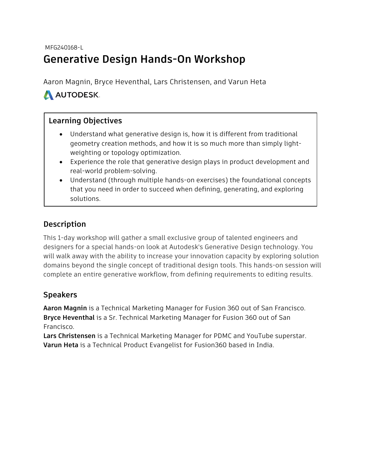#### MFG240168-L

# **Generative Design Hands-On Workshop**

Aaron Magnin, Bryce Heventhal, Lars Christensen, and Varun Heta

## A AUTODESK.

### **Learning Objectives**

- Understand what generative design is, how it is different from traditional geometry creation methods, and how it is so much more than simply lightweighting or topology optimization.
- Experience the role that generative design plays in product development and real-world problem-solving.
- Understand (through multiple hands-on exercises) the foundational concepts that you need in order to succeed when defining, generating, and exploring solutions.

#### **Description**

This 1-day workshop will gather a small exclusive group of talented engineers and designers for a special hands-on look at Autodesk's Generative Design technology. You will walk away with the ability to increase your innovation capacity by exploring solution domains beyond the single concept of traditional design tools. This hands-on session will complete an entire generative workflow, from defining requirements to editing results.

#### **Speakers**

**Aaron Magnin** is a Technical Marketing Manager for Fusion 360 out of San Francisco. **Bryce Heventhal** is a Sr. Technical Marketing Manager for Fusion 360 out of San Francisco.

**Lars Christensen** is a Technical Marketing Manager for PDMC and YouTube superstar. **Varun Heta** is a Technical Product Evangelist for Fusion360 based in India.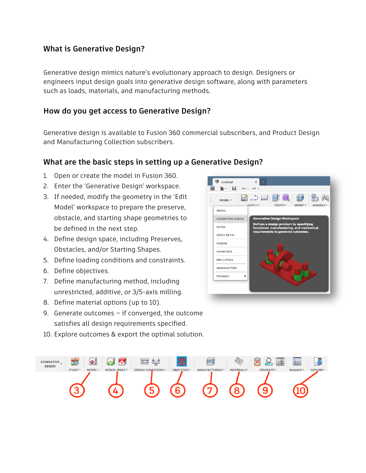#### **What is Generative Design?**

Generative design mimics nature's evolutionary approach to design. Designers or engineers input design goals into generative design software, along with parameters such as loads, materials, and manufacturing methods.

#### **How do you get access to Generative Design?**

Generative design is available to Fusion 360 commercial subscribers, and Product Design and Manufacturing Collection subscribers.

#### **What are the basic steps in setting up a Generative Design?**

- 1. Open or create the model in Fusion 360.
- 2. Enter the 'Generative Design' workspace.
- 3. If needed, modify the geometry in the 'Edit Model' workspace to prepare the preserve, obstacle, and starting shape geometries to be defined in the next step.
- 4. Define design space, including Preserves, Obstacles, and/or Starting Shapes.
- 5. Define loading conditions and constraints.
- 6. Define objectives.
- 7. Define manufacturing method, including unrestricted, additive, or 3/5-axis milling.
- 8. Define material options (up to 10).
- 9. Generate outcomes if converged, the outcome satisfies all design requirements specified.
- 10. Explore outcomes & export the optimal solution.



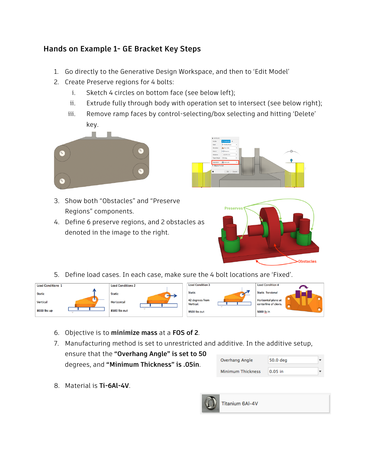### **Hands on Example 1- GE Bracket Key Steps**

- 1. Go directly to the Generative Design Workspace, and then to 'Edit Model'
- 2. Create Preserve regions for 4 bolts:
	- i. Sketch 4 circles on bottom face (see below left);
	- ii. Extrude fully through body with operation set to intersect (see below right);
	- iii. Remove ramp faces by control-selecting/box selecting and hitting 'Delete' key.



- 3. Show both "Obstacles" and "Preserve Regions" components.
- 4. Define 6 preserve regions, and 2 obstacles as denoted in the image to the right.





5. Define load cases. In each case, make sure the 4 bolt locations are 'Fixed'.



- 6. Objective is to **minimize mass** at a **FOS of 2**.
- 7. Manufacturing method is set to unrestricted and additive. In the additive setup, ensure that the **"Overhang Angle" is set to 50** degrees, and **"Minimum Thickness" is .05in**.
- 8. Material is **Ti-6Al-4V**.

| Overhang Angle           | 50.0 deg  |  |
|--------------------------|-----------|--|
| <b>Minimum Thickness</b> | $0.05$ in |  |



Titanium 6AI-4V